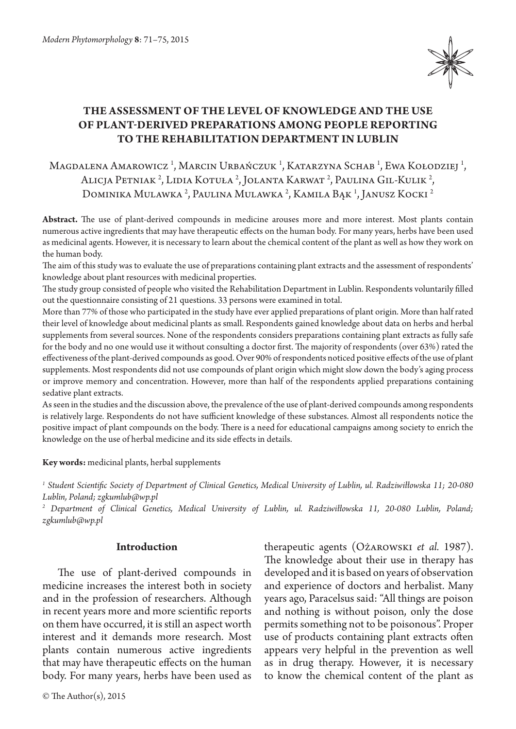

# **The assessment of the level of knowledge and the use of plant-derived preparations among people reporting to the Rehabilitation Department in Lublin**

# Magdalena Amarowicz<sup>i</sup>, Marcin Urbańczuk<sup>i</sup>, Katarzyna Schab<sup>i</sup>, Ewa Kołodziej<sup>i</sup>, Alicja Petniak<sup>2</sup>, Lidia Kotuła<sup>2</sup>, Jolanta Karwat<sup>2</sup>, Paulina Gil-Kulik<sup>2</sup>, Dominika Mulawka <sup>2</sup>, Paulina Mulawka <sup>2</sup>, Kamila Bąk <sup>1</sup>, Janusz Kocki <sup>2</sup>

**Abstract.** The use of plant-derived compounds in medicine arouses more and more interest. Most plants contain numerous active ingredients that may have therapeutic effects on the human body. For many years, herbs have been used as medicinal agents. However, it is necessary to learn about the chemical content of the plant as well as how they work on the human body.

The aim of this study was to evaluate the use of preparations containing plant extracts and the assessment of respondents' knowledge about plant resources with medicinal properties.

The study group consisted of people who visited the Rehabilitation Department in Lublin. Respondents voluntarily filled out the questionnaire consisting of 21 questions. 33 persons were examined in total.

More than 77% of those who participated in the study have ever applied preparations of plant origin. More than half rated their level of knowledge about medicinal plants as small. Respondents gained knowledge about data on herbs and herbal supplements from several sources. None of the respondents considers preparations containing plant extracts as fully safe for the body and no one would use it without consulting a doctor first. The majority of respondents (over 63%) rated the effectiveness of the plant-derived compounds as good. Over 90% of respondents noticed positive effects of the use of plant supplements. Most respondents did not use compounds of plant origin which might slow down the body's aging process or improve memory and concentration. However, more than half of the respondents applied preparations containing sedative plant extracts.

As seen in the studies and the discussion above, the prevalence of the use of plant-derived compounds among respondents is relatively large. Respondents do not have sufficient knowledge of these substances. Almost all respondents notice the positive impact of plant compounds on the body. There is a need for educational campaigns among society to enrich the knowledge on the use of herbal medicine and its side effects in details.

**Key words:** medicinal plants, herbal supplements

*1 Student Scientific Society of Department of Clinical Genetics, Medical University of Lublin, ul. Radziwiłłowska 11; 20-080 Lublin, Poland; zgkumlub@wp.pl*

*2 Department of Clinical Genetics, Medical University of Lublin, ul. Radziwiłłowska 11, 20-080 Lublin, Poland; zgkumlub@wp.pl*

## **Introduction**

The use of plant-derived compounds in medicine increases the interest both in society and in the profession of researchers. Although in recent years more and more scientific reports on them have occurred, it is still an aspect worth interest and it demands more research. Most plants contain numerous active ingredients that may have therapeutic effects on the human body. For many years, herbs have been used as therapeutic agents (Ożarowski *et al.* 1987). The knowledge about their use in therapy has developed and it is based on years of observation and experience of doctors and herbalist. Many years ago, Paracelsus said: "All things are poison and nothing is without poison, only the dose permits something not to be poisonous". Proper use of products containing plant extracts often appears very helpful in the prevention as well as in drug therapy. However, it is necessary to know the chemical content of the plant as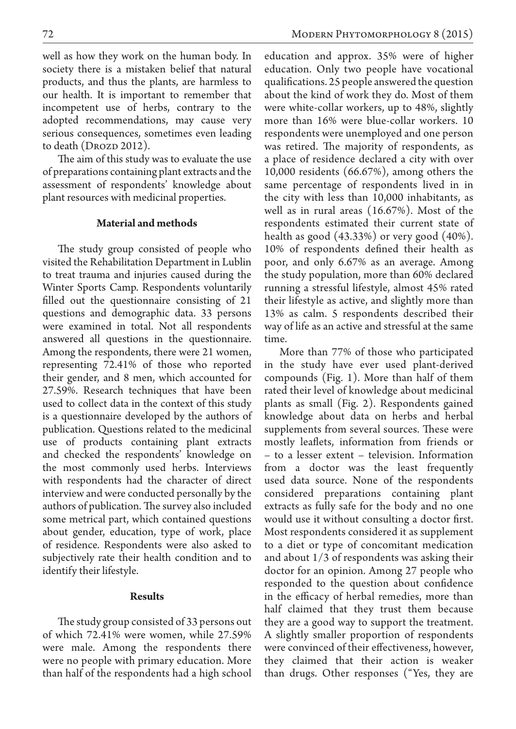well as how they work on the human body. In society there is a mistaken belief that natural products, and thus the plants, are harmless to our health. It is important to remember that incompetent use of herbs, contrary to the adopted recommendations, may cause very serious consequences, sometimes even leading to death (DROZD 2012).

The aim of this study was to evaluate the use of preparations containing plant extracts and the assessment of respondents' knowledge about plant resources with medicinal properties.

## **Material and methods**

The study group consisted of people who visited the Rehabilitation Department in Lublin to treat trauma and injuries caused during the Winter Sports Camp. Respondents voluntarily filled out the questionnaire consisting of 21 questions and demographic data. 33 persons were examined in total. Not all respondents answered all questions in the questionnaire. Among the respondents, there were 21 women, representing 72.41% of those who reported their gender, and 8 men, which accounted for 27.59%. Research techniques that have been used to collect data in the context of this study is a questionnaire developed by the authors of publication. Questions related to the medicinal use of products containing plant extracts and checked the respondents' knowledge on the most commonly used herbs. Interviews with respondents had the character of direct interview and were conducted personally by the authors of publication. The survey also included some metrical part, which contained questions about gender, education, type of work, place of residence. Respondents were also asked to subjectively rate their health condition and to identify their lifestyle.

### **Results**

The study group consisted of 33 persons out of which 72.41% were women, while 27.59% were male. Among the respondents there were no people with primary education. More than half of the respondents had a high school

education and approx. 35% were of higher education. Only two people have vocational qualifications. 25 people answered the question about the kind of work they do. Most of them were white-collar workers, up to 48%, slightly more than 16% were blue-collar workers. 10 respondents were unemployed and one person was retired. The majority of respondents, as a place of residence declared a city with over 10,000 residents (66.67%), among others the same percentage of respondents lived in in the city with less than 10,000 inhabitants, as well as in rural areas (16.67%). Most of the respondents estimated their current state of health as good (43.33%) or very good (40%). 10% of respondents defined their health as poor, and only 6.67% as an average. Among the study population, more than 60% declared running a stressful lifestyle, almost 45% rated their lifestyle as active, and slightly more than 13% as calm. 5 respondents described their way of life as an active and stressful at the same time.

More than 77% of those who participated in the study have ever used plant-derived compounds (Fig. 1). More than half of them rated their level of knowledge about medicinal plants as small (Fig. 2). Respondents gained knowledge about data on herbs and herbal supplements from several sources. These were mostly leaflets, information from friends or – to a lesser extent – television. Information from a doctor was the least frequently used data source. None of the respondents considered preparations containing plant extracts as fully safe for the body and no one would use it without consulting a doctor first. Most respondents considered it as supplement to a diet or type of concomitant medication and about 1/3 of respondents was asking their doctor for an opinion. Among 27 people who responded to the question about confidence in the efficacy of herbal remedies, more than half claimed that they trust them because they are a good way to support the treatment. A slightly smaller proportion of respondents were convinced of their effectiveness, however, they claimed that their action is weaker than drugs. Other responses ("Yes, they are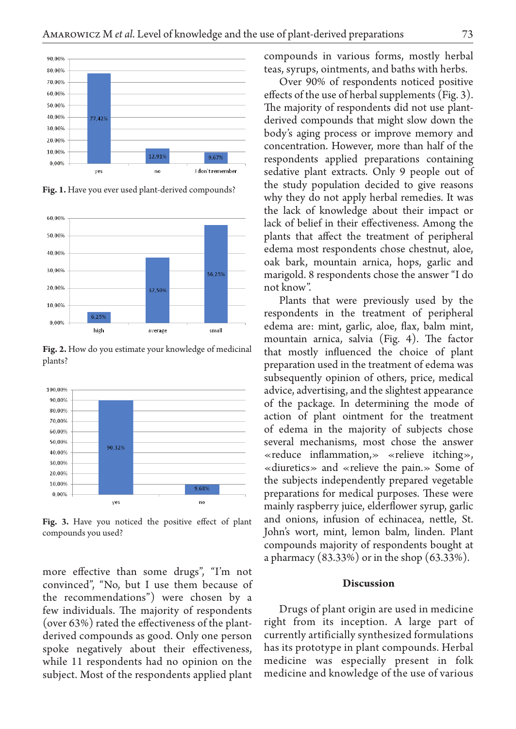

**Fig. 1.** Have you ever used plant-derived compounds?



Fig. 2. How do you estimate your knowledge of medicinal plants?



Fig. 3. Have you noticed the positive effect of plant compounds you used?

more effective than some drugs", "I'm not convinced", "No, but I use them because of the recommendations") were chosen by a few individuals. The majority of respondents (over 63%) rated the effectiveness of the plantderived compounds as good. Only one person spoke negatively about their effectiveness, while 11 respondents had no opinion on the subject. Most of the respondents applied plant compounds in various forms, mostly herbal teas, syrups, ointments, and baths with herbs.

Over 90% of respondents noticed positive effects of the use of herbal supplements (Fig. 3). The majority of respondents did not use plantderived compounds that might slow down the body's aging process or improve memory and concentration. However, more than half of the respondents applied preparations containing sedative plant extracts. Only 9 people out of the study population decided to give reasons why they do not apply herbal remedies. It was the lack of knowledge about their impact or lack of belief in their effectiveness. Among the plants that affect the treatment of peripheral edema most respondents chose chestnut, aloe, oak bark, mountain arnica, hops, garlic and marigold. 8 respondents chose the answer "I do not know".

Plants that were previously used by the respondents in the treatment of peripheral edema are: mint, garlic, aloe, flax, balm mint, mountain arnica, salvia (Fig. 4). The factor that mostly influenced the choice of plant preparation used in the treatment of edema was subsequently opinion of others, price, medical advice, advertising, and the slightest appearance of the package. In determining the mode of action of plant ointment for the treatment of edema in the majority of subjects chose several mechanisms, most chose the answer «reduce inflammation,» «relieve itching», «diuretics» and «relieve the pain.» Some of the subjects independently prepared vegetable preparations for medical purposes. These were mainly raspberry juice, elderflower syrup, garlic and onions, infusion of echinacea, nettle, St. John's wort, mint, lemon balm, linden. Plant compounds majority of respondents bought at a pharmacy (83.33%) or in the shop (63.33%).

#### **Discussion**

Drugs of plant origin are used in medicine right from its inception. A large part of currently artificially synthesized formulations has its prototype in plant compounds. Herbal medicine was especially present in folk medicine and knowledge of the use of various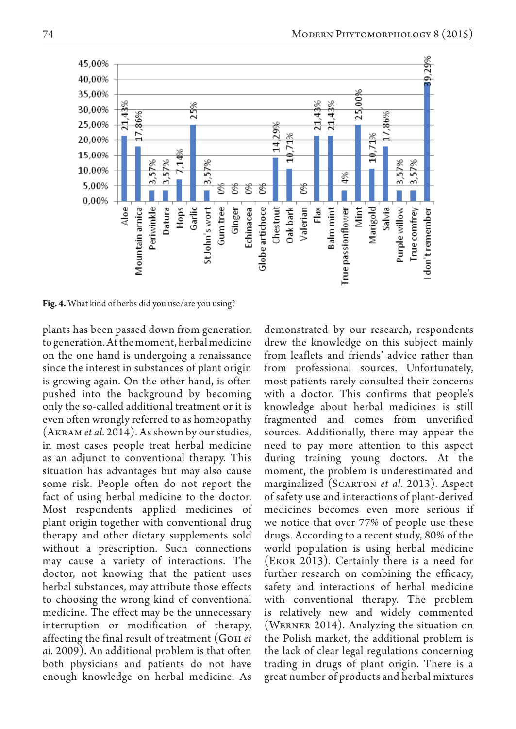

**Fig. 4.** What kind of herbs did you use/are you using?

plants has been passed down from generation to generation. At the moment, herbal medicine on the one hand is undergoing a renaissance since the interest in substances of plant origin is growing again. On the other hand, is often pushed into the background by becoming only the so-called additional treatment or it is even often wrongly referred to as homeopathy (Akram *et al.* 2014). As shown by our studies, in most cases people treat herbal medicine as an adjunct to conventional therapy. This situation has advantages but may also cause some risk. People often do not report the fact of using herbal medicine to the doctor. Most respondents applied medicines of plant origin together with conventional drug therapy and other dietary supplements sold without a prescription. Such connections may cause a variety of interactions. The doctor, not knowing that the patient uses herbal substances, may attribute those effects to choosing the wrong kind of conventional medicine. The effect may be the unnecessary interruption or modification of therapy, affecting the final result of treatment (Goh *et al.* 2009). An additional problem is that often both physicians and patients do not have enough knowledge on herbal medicine. As

demonstrated by our research, respondents drew the knowledge on this subject mainly from leaflets and friends' advice rather than from professional sources. Unfortunately, most patients rarely consulted their concerns with a doctor. This confirms that people's knowledge about herbal medicines is still fragmented and comes from unverified sources. Additionally, there may appear the need to pay more attention to this aspect during training young doctors. At the moment, the problem is underestimated and marginalized (Scarton *et al.* 2013). Aspect of safety use and interactions of plant-derived medicines becomes even more serious if we notice that over 77% of people use these drugs. According to a recent study, 80% of the world population is using herbal medicine (Ekor 2013). Certainly there is a need for further research on combining the efficacy, safety and interactions of herbal medicine with conventional therapy. The problem is relatively new and widely commented (Werner 2014). Analyzing the situation on the Polish market, the additional problem is the lack of clear legal regulations concerning trading in drugs of plant origin. There is a great number of products and herbal mixtures